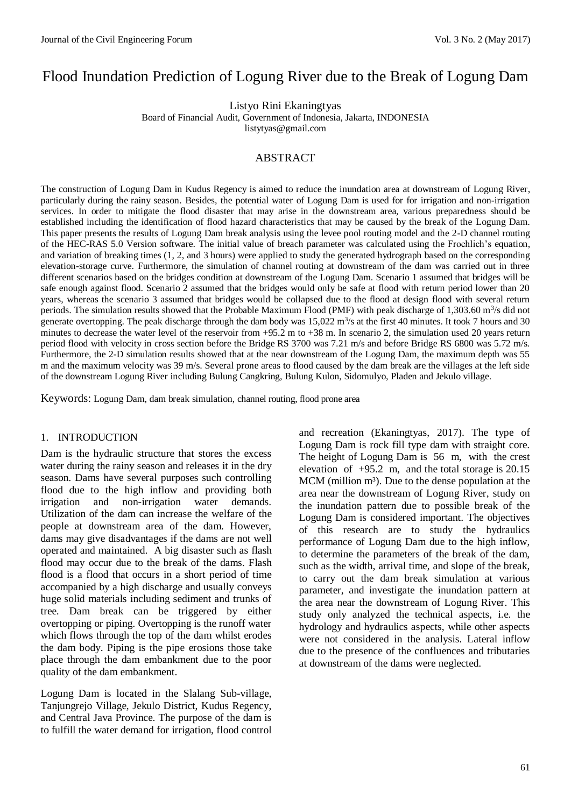# Flood Inundation Prediction of Logung River due to the Break of Logung Dam

Listyo Rini Ekaningtyas

Board of Financial Audit, Government of Indonesia, Jakarta, INDONESIA

listytyas@gmail.com

# ABSTRACT

The construction of Logung Dam in Kudus Regency is aimed to reduce the inundation area at downstream of Logung River, particularly during the rainy season. Besides, the potential water of Logung Dam is used for for irrigation and non-irrigation services. In order to mitigate the flood disaster that may arise in the downstream area, various preparedness should be established including the identification of flood hazard characteristics that may be caused by the break of the Logung Dam. This paper presents the results of Logung Dam break analysis using the levee pool routing model and the 2-D channel routing of the HEC-RAS 5.0 Version software. The initial value of breach parameter was calculated using the Froehlich's equation, and variation of breaking times (1, 2, and 3 hours) were applied to study the generated hydrograph based on the corresponding elevation-storage curve. Furthermore, the simulation of channel routing at downstream of the dam was carried out in three different scenarios based on the bridges condition at downstream of the Logung Dam. Scenario 1 assumed that bridges will be safe enough against flood. Scenario 2 assumed that the bridges would only be safe at flood with return period lower than 20 years, whereas the scenario 3 assumed that bridges would be collapsed due to the flood at design flood with several return periods. The simulation results showed that the Probable Maximum Flood (PMF) with peak discharge of 1,303.60 m<sup>3</sup>/s did not generate overtopping. The peak discharge through the dam body was  $15,022 \text{ m}^3/\text{s}$  at the first 40 minutes. It took 7 hours and 30 minutes to decrease the water level of the reservoir from  $+95.2$  m to  $+38$  m. In scenario 2, the simulation used 20 years return period flood with velocity in cross section before the Bridge RS 3700 was 7.21 m/s and before Bridge RS 6800 was 5.72 m/s. Furthermore, the 2-D simulation results showed that at the near downstream of the Logung Dam, the maximum depth was 55 m and the maximum velocity was 39 m/s. Several prone areas to flood caused by the dam break are the villages at the left side of the downstream Logung River including Bulung Cangkring, Bulung Kulon, Sidomulyo, Pladen and Jekulo village.

Keywords: Logung Dam, dam break simulation, channel routing, flood prone area

### 1. INTRODUCTION

Dam is the hydraulic structure that stores the excess water during the rainy season and releases it in the dry season. Dams have several purposes such controlling flood due to the high inflow and providing both irrigation and non-irrigation water demands. Utilization of the dam can increase the welfare of the people at downstream area of the dam. However, dams may give disadvantages if the dams are not well operated and maintained. A big disaster such as flash flood may occur due to the break of the dams. Flash flood is a flood that occurs in a short period of time accompanied by a high discharge and usually conveys huge solid materials including sediment and trunks of tree. Dam break can be triggered by either overtopping or piping. Overtopping is the runoff water which flows through the top of the dam whilst erodes the dam body. Piping is the pipe erosions those take place through the dam embankment due to the poor quality of the dam embankment.

Logung Dam is located in the Slalang Sub-village, Tanjungrejo Village, Jekulo District, Kudus Regency, and Central Java Province. The purpose of the dam is to fulfill the water demand for irrigation, flood control and recreation (Ekaningtyas, 2017). The type of Logung Dam is rock fill type dam with straight core. The height of Logung Dam is 56 m, with the crest elevation of  $+95.2$  m, and the total storage is  $20.15$  $MCM$  (million  $m<sup>3</sup>$ ). Due to the dense population at the area near the downstream of Logung River, study on the inundation pattern due to possible break of the Logung Dam is considered important. The objectives of this research are to study the hydraulics performance of Logung Dam due to the high inflow, to determine the parameters of the break of the dam, such as the width, arrival time, and slope of the break, to carry out the dam break simulation at various parameter, and investigate the inundation pattern at the area near the downstream of Logung River. This study only analyzed the technical aspects, i.e. the hydrology and hydraulics aspects, while other aspects were not considered in the analysis. Lateral inflow due to the presence of the confluences and tributaries at downstream of the dams were neglected.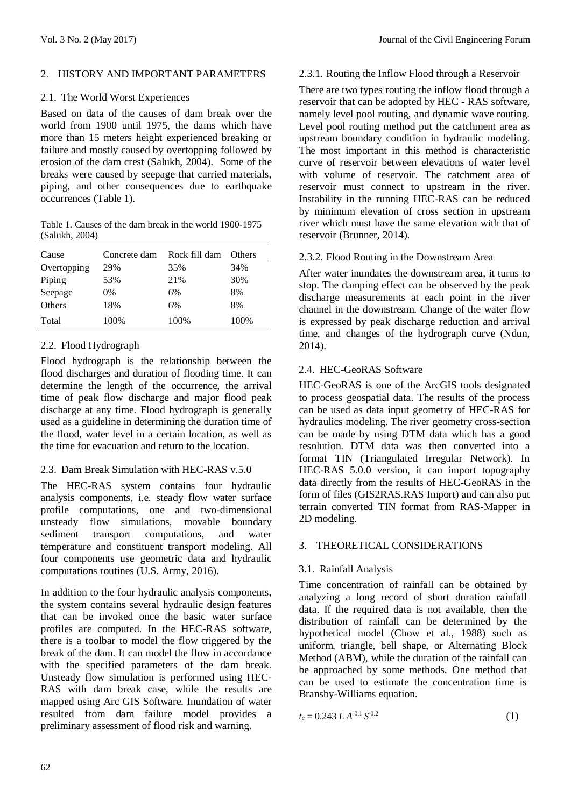## 2. HISTORY AND IMPORTANT PARAMETERS

## 2.1. The World Worst Experiences

Based on data of the causes of dam break over the world from 1900 until 1975, the dams which have more than 15 meters height experienced breaking or failure and mostly caused by overtopping followed by erosion of the dam crest (Salukh, 2004). Some of the breaks were caused by seepage that carried materials, piping, and other consequences due to earthquake occurrences (Table 1).

Table 1. Causes of the dam break in the world 1900-1975 (Salukh, 2004)

| Cause       | Concrete dam | Rock fill dam | Others |
|-------------|--------------|---------------|--------|
| Overtopping | 29%          | 35%           | 34%    |
| Piping      | 53%          | 21%           | 30%    |
| Seepage     | 0%           | 6%            | 8%     |
| Others      | 18%          | 6%            | 8%     |
| Total       | 100%         | 100%          | 100%   |

# 2.2. Flood Hydrograph

Flood hydrograph is the relationship between the flood discharges and duration of flooding time. It can determine the length of the occurrence, the arrival time of peak flow discharge and major flood peak discharge at any time. Flood hydrograph is generally used as a guideline in determining the duration time of the flood, water level in a certain location, as well as the time for evacuation and return to the location.

# 2.3. Dam Break Simulation with HEC-RAS v.5.0

The HEC-RAS system contains four hydraulic analysis components, i.e. steady flow water surface profile computations, one and two-dimensional unsteady flow simulations, movable boundary sediment transport computations, and water temperature and constituent transport modeling. All four components use geometric data and hydraulic computations routines (U.S. Army, 2016).

In addition to the four hydraulic analysis components, the system contains several hydraulic design features that can be invoked once the basic water surface profiles are computed. In the HEC-RAS software, there is a toolbar to model the flow triggered by the break of the dam. It can model the flow in accordance with the specified parameters of the dam break. Unsteady flow simulation is performed using HEC-RAS with dam break case, while the results are mapped using Arc GIS Software. Inundation of water resulted from dam failure model provides a preliminary assessment of flood risk and warning.

# 2.3.1. Routing the Inflow Flood through a Reservoir

There are two types routing the inflow flood through a reservoir that can be adopted by HEC - RAS software, namely level pool routing, and dynamic wave routing. Level pool routing method put the catchment area as upstream boundary condition in hydraulic modeling. The most important in this method is characteristic curve of reservoir between elevations of water level with volume of reservoir. The catchment area of reservoir must connect to upstream in the river. Instability in the running HEC-RAS can be reduced by minimum elevation of cross section in upstream river which must have the same elevation with that of reservoir (Brunner, 2014).

# 2.3.2. Flood Routing in the Downstream Area

After water inundates the downstream area, it turns to stop. The damping effect can be observed by the peak discharge measurements at each point in the river channel in the downstream. Change of the water flow is expressed by peak discharge reduction and arrival time, and changes of the hydrograph curve (Ndun, 2014).

# 2.4. HEC-GeoRAS Software

HEC-GeoRAS is one of the ArcGIS tools designated to process geospatial data. The results of the process can be used as data input geometry of HEC-RAS for hydraulics modeling. The river geometry cross-section can be made by using DTM data which has a good resolution. DTM data was then converted into a format TIN (Triangulated Irregular Network). In HEC-RAS 5.0.0 version, it can import topography data directly from the results of HEC-GeoRAS in the form of files (GIS2RAS.RAS Import) and can also put terrain converted TIN format from RAS-Mapper in 2D modeling.

# 3. THEORETICAL CONSIDERATIONS

# 3.1. Rainfall Analysis

Time concentration of rainfall can be obtained by analyzing a long record of short duration rainfall data. If the required data is not available, then the distribution of rainfall can be determined by the hypothetical model (Chow et al., 1988) such as uniform, triangle, bell shape, or Alternating Block Method (ABM), while the duration of the rainfall can be approached by some methods. One method that can be used to estimate the concentration time is Bransby-Williams equation.

$$
t_c = 0.243 \ L \ A^{-0.1} \ S^{-0.2} \tag{1}
$$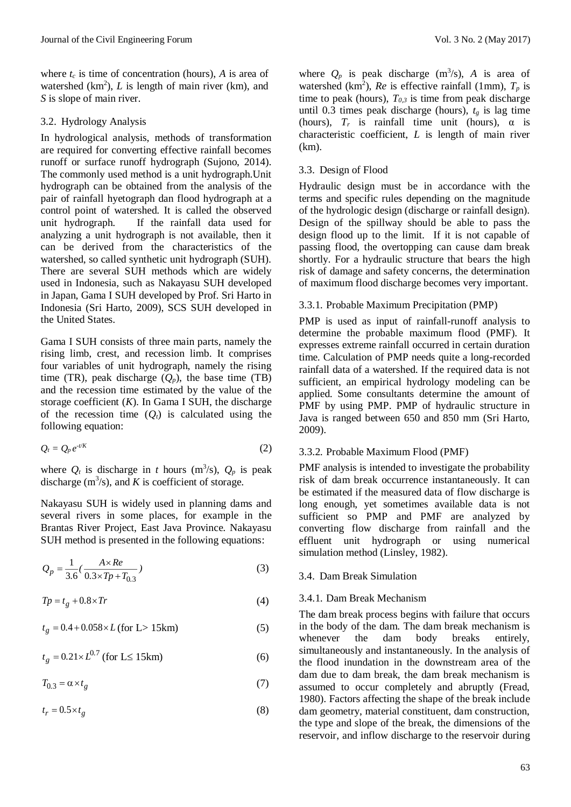where  $t_c$  is time of concentration (hours),  $A$  is area of watershed  $(km^2)$ , L is length of main river (km), and *S* is slope of main river.

## 3.2. Hydrology Analysis

In hydrological analysis, methods of transformation are required for converting effective rainfall becomes runoff or surface runoff hydrograph (Sujono, 2014). The commonly used method is a unit hydrograph.Unit hydrograph can be obtained from the analysis of the pair of rainfall hyetograph dan flood hydrograph at a control point of watershed. It is called the observed unit hydrograph. If the rainfall data used for analyzing a unit hydrograph is not available, then it can be derived from the characteristics of the watershed, so called synthetic unit hydrograph (SUH). There are several SUH methods which are widely used in Indonesia, such as Nakayasu SUH developed in Japan, Gama I SUH developed by Prof. Sri Harto in Indonesia (Sri Harto, 2009), SCS SUH developed in the United States.

Gama I SUH consists of three main parts, namely the rising limb, crest, and recession limb. It comprises four variables of unit hydrograph, namely the rising time (TR), peak discharge  $(Q_p)$ , the base time (TB) and the recession time estimated by the value of the storage coefficient (*K*). In Gama I SUH, the discharge of the recession time  $(Q_t)$  is calculated using the following equation:

$$
Q_t = Q_p e^{-t/K} \tag{2}
$$

where  $Q_t$  is discharge in *t* hours (m<sup>3</sup>/s),  $Q_p$  is peak discharge  $(m^3/s)$ , and *K* is coefficient of storage.

Nakayasu SUH is widely used in planning dams and several rivers in some places, for example in the Brantas River Project, East Java Province. Nakayasu SUH method is presented in the following equations:

$$
Q_p = \frac{1}{3.6} \left( \frac{A \times Re}{0.3 \times T_p + T_{0.3}} \right) \tag{3}
$$

$$
Tp = t_g + 0.8 \times Tr \tag{4}
$$

$$
t_g = 0.4 + 0.058 \times L \text{ (for L>15km)}\tag{5}
$$

$$
t_g = 0.21 \times L^{0.7} \text{ (for L} \le 15 \text{km)}\tag{6}
$$

$$
T_{0.3} = \alpha \times t_g \tag{7}
$$

$$
t_r = 0.5 \times t_g \tag{8}
$$

where  $Q_p$  is peak discharge (m<sup>3</sup>/s), *A* is area of watershed (km<sup>2</sup>), *Re* is effective rainfall (1mm),  $T_p$  is time to peak (hours),  $T_{0,3}$  is time from peak discharge until 0.3 times peak discharge (hours),  $t_g$  is lag time (hours),  $T_r$  is rainfall time unit (hours),  $\alpha$  is characteristic coefficient, *L* is length of main river (km).

# 3.3. Design of Flood

Hydraulic design must be in accordance with the terms and specific rules depending on the magnitude of the hydrologic design (discharge or rainfall design). Design of the spillway should be able to pass the design flood up to the limit. If it is not capable of passing flood, the overtopping can cause dam break shortly. For a hydraulic structure that bears the high risk of damage and safety concerns, the determination of maximum flood discharge becomes very important.

# 3.3.1. Probable Maximum Precipitation (PMP)

PMP is used as input of rainfall-runoff analysis to determine the probable maximum flood (PMF). It expresses extreme rainfall occurred in certain duration time. Calculation of PMP needs quite a long-recorded rainfall data of a watershed. If the required data is not sufficient, an empirical hydrology modeling can be applied. Some consultants determine the amount of PMF by using PMP. PMP of hydraulic structure in Java is ranged between 650 and 850 mm (Sri Harto, 2009).

# 3.3.2. Probable Maximum Flood (PMF)

PMF analysis is intended to investigate the probability risk of dam break occurrence instantaneously. It can be estimated if the measured data of flow discharge is long enough, yet sometimes available data is not sufficient so PMP and PMF are analyzed by converting flow discharge from rainfall and the effluent unit hydrograph or using numerical simulation method (Linsley, 1982).

# 3.4. Dam Break Simulation

# 3.4.1. Dam Break Mechanism

The dam break process begins with failure that occurs in the body of the dam. The dam break mechanism is whenever the dam body breaks entirely, simultaneously and instantaneously. In the analysis of the flood inundation in the downstream area of the dam due to dam break, the dam break mechanism is assumed to occur completely and abruptly (Fread, 1980). Factors affecting the shape of the break include dam geometry, material constituent, dam construction, the type and slope of the break, the dimensions of the reservoir, and inflow discharge to the reservoir during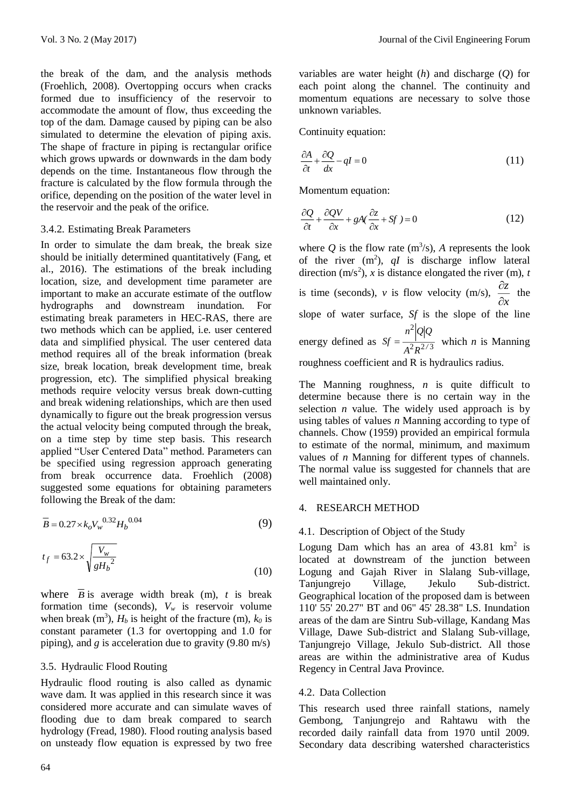the break of the dam, and the analysis methods (Froehlich, 2008). Overtopping occurs when cracks formed due to insufficiency of the reservoir to accommodate the amount of flow, thus exceeding the top of the dam. Damage caused by piping can be also simulated to determine the elevation of piping axis. The shape of fracture in piping is rectangular orifice which grows upwards or downwards in the dam body depends on the time. Instantaneous flow through the fracture is calculated by the flow formula through the orifice, depending on the position of the water level in the reservoir and the peak of the orifice.

### 3.4.2. Estimating Break Parameters

In order to simulate the dam break, the break size should be initially determined quantitatively (Fang, et al., 2016). The estimations of the break including location, size, and development time parameter are important to make an accurate estimate of the outflow hydrographs and downstream inundation. For estimating break parameters in HEC-RAS, there are two methods which can be applied, i.e. user centered data and simplified physical. The user centered data method requires all of the break information (break size, break location, break development time, break progression, etc). The simplified physical breaking methods require velocity versus break down-cutting and break widening relationships, which are then used dynamically to figure out the break progression versus the actual velocity being computed through the break, on a time step by time step basis. This research applied "User Centered Data" method. Parameters can be specified using regression approach generating from break occurrence data. Froehlich (2008) suggested some equations for obtaining parameters following the Break of the dam:

$$
\overline{B} = 0.27 \times k_o V_w^{0.32} H_b^{0.04}
$$
 (9)

$$
t_f = 63.2 \times \sqrt{\frac{V_w}{gH_b^2}}
$$
 (10)

where  $\overline{B}$  is average width break (m), *t* is break formation time (seconds),  $V_w$  is reservoir volume when break  $(m^3)$ ,  $H_b$  is height of the fracture  $(m)$ ,  $k_0$  is constant parameter (1.3 for overtopping and 1.0 for piping), and *g* is acceleration due to gravity (9.80 m/s)

### 3.5. Hydraulic Flood Routing

Hydraulic flood routing is also called as dynamic wave dam. It was applied in this research since it was considered more accurate and can simulate waves of flooding due to dam break compared to search hydrology (Fread, 1980). Flood routing analysis based on unsteady flow equation is expressed by two free variables are water height (*h*) and discharge (*Q*) for each point along the channel. The continuity and momentum equations are necessary to solve those unknown variables.

Continuity equation:

$$
\frac{\partial A}{\partial t} + \frac{\partial Q}{\partial x} - qI = 0 \tag{11}
$$

Momentum equation:

$$
\frac{\partial Q}{\partial t} + \frac{\partial QV}{\partial x} + gA(\frac{\partial z}{\partial x} + Sf) = 0
$$
\n(12)

where  $Q$  is the flow rate  $(m^3/s)$ , *A* represents the look of the river  $(m^2)$ ,  $qI$  is discharge inflow lateral direction  $(m/s<sup>2</sup>)$ , *x* is distance elongated the river (m), *t* is time (seconds), *v* is flow velocity (m/s), *x z*  $\hat{c}$  $\frac{\partial z}{\partial t}$  the slope of water surface, *Sf* is the slope of the line energy defined as  $S_f = \frac{1}{2R^2(3)}$ 2  $A^2 R^{2/3}$ *<sup>n</sup> Q Q*  $Sf = \frac{1}{2a^2/3}$  which *n* is Manning roughness coefficient and R is hydraulics radius.

The Manning roughness, *n* is quite difficult to determine because there is no certain way in the selection  $n$  value. The widely used approach is by using tables of values *n* Manning according to type of channels. Chow (1959) provided an empirical formula to estimate of the normal, minimum, and maximum values of *n* Manning for different types of channels. The normal value iss suggested for channels that are well maintained only.

### 4. RESEARCH METHOD

### 4.1. Description of Object of the Study

Logung Dam which has an area of  $43.81 \text{ km}^2$  is located at downstream of the junction between Logung and Gajah River in Slalang Sub-village, Tanjungrejo Village, Jekulo Sub-district. Geographical location of the proposed dam is between 110' 55' 20.27" BT and 06" 45' 28.38" LS. Inundation areas of the dam are Sintru Sub-village, Kandang Mas Village, Dawe Sub-district and Slalang Sub-village, Tanjungrejo Village, Jekulo Sub-district. All those areas are within the administrative area of Kudus Regency in Central Java Province.

### 4.2. Data Collection

This research used three rainfall stations, namely Gembong, Tanjungrejo and Rahtawu with the recorded daily rainfall data from 1970 until 2009. Secondary data describing watershed characteristics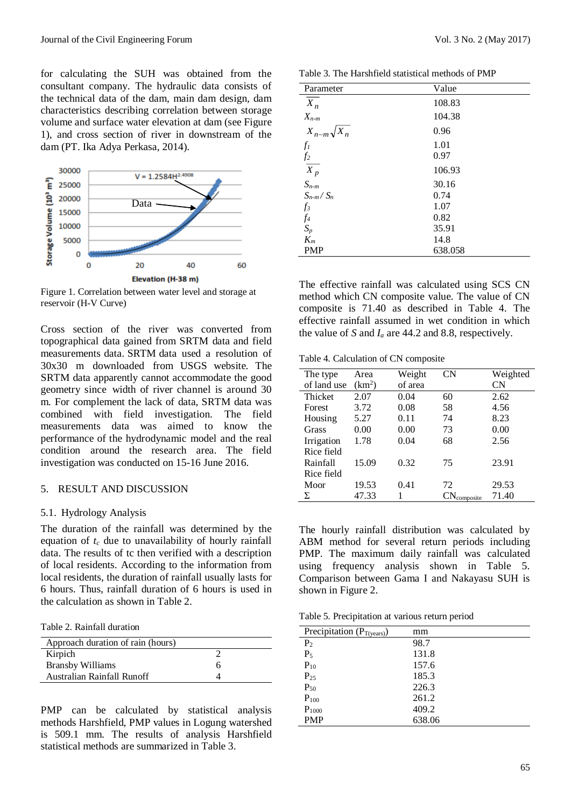for calculating the SUH was obtained from the consultant company. The hydraulic data consists of the technical data of the dam, main dam design, dam characteristics describing correlation between storage volume and surface water elevation at dam (see Figure 1), and cross section of river in downstream of the dam (PT. Ika Adya Perkasa, 2014).



Figure 1. Correlation between water level and storage at reservoir (H-V Curve)

Cross section of the river was converted from topographical data gained from SRTM data and field measurements data. SRTM data used a resolution of 30x30 m downloaded from USGS website. The SRTM data apparently cannot accommodate the good geometry since width of river channel is around 30 m. For complement the lack of data, SRTM data was combined with field investigation. The field measurements data was aimed to know the performance of the hydrodynamic model and the real condition around the research area. The field investigation was conducted on 15-16 June 2016.

#### 5. RESULT AND DISCUSSION

#### 5.1. Hydrology Analysis

The duration of the rainfall was determined by the equation of *t<sup>c</sup>* due to unavailability of hourly rainfall data. The results of tc then verified with a description of local residents. According to the information from local residents, the duration of rainfall usually lasts for 6 hours. Thus, rainfall duration of 6 hours is used in the calculation as shown in Table 2.

Table 2. Rainfall duration

| Approach duration of rain (hours) |  |
|-----------------------------------|--|
| Kirpich                           |  |
| <b>Bransby Williams</b>           |  |
| Australian Rainfall Runoff        |  |

PMP can be calculated by statistical analysis methods Harshfield, PMP values in Logung watershed is 509.1 mm. The results of analysis Harshfield statistical methods are summarized in Table 3.

| Table 3. The Harshfield statistical methods of PMP |  |  |  |
|----------------------------------------------------|--|--|--|
|----------------------------------------------------|--|--|--|

| Parameter                                 | Value   |
|-------------------------------------------|---------|
| $X_n$                                     | 108.83  |
| $X_{n-m}$                                 | 104.38  |
| $X_{n-m}\sqrt{X_n}$                       | 0.96    |
| $f_I$                                     | 1.01    |
|                                           | 0.97    |
| $\frac{f_2}{X_p}$                         | 106.93  |
| $S_{n-m}$                                 | 30.16   |
| $S_{n-m}/S_n$                             | 0.74    |
| $f_3$                                     | 1.07    |
| $\begin{array}{c} f_4 \\ S_p \end{array}$ | 0.82    |
|                                           | 35.91   |
| $K_m$                                     | 14.8    |
| <b>PMP</b>                                | 638.058 |

The effective rainfall was calculated using SCS CN method which CN composite value. The value of CN composite is 71.40 as described in Table 4. The effective rainfall assumed in wet condition in which the value of *S* and  $I_a$  are 44.2 and 8.8, respectively.

Table 4. Calculation of CN composite

| The type    | Area               | Weight  | CN                      | Weighted |
|-------------|--------------------|---------|-------------------------|----------|
| of land use | (km <sup>2</sup> ) | of area |                         | CN       |
| Thicket     | 2.07               | 0.04    | 60                      | 2.62     |
| Forest      | 3.72               | 0.08    | 58                      | 4.56     |
| Housing     | 5.27               | 0.11    | 74                      | 8.23     |
| Grass       | 0.00               | 0.00    | 73                      | 0.00     |
| Irrigation  | 1.78               | 0.04    | 68                      | 2.56     |
| Rice field  |                    |         |                         |          |
| Rainfall    | 15.09              | 0.32    | 75                      | 23.91    |
| Rice field  |                    |         |                         |          |
| Moor        | 19.53              | 0.41    | 72                      | 29.53    |
| Σ           | 47.33              |         | $CN_{\text{composite}}$ | 71.40    |

The hourly rainfall distribution was calculated by ABM method for several return periods including PMP. The maximum daily rainfall was calculated using frequency analysis shown in Table 5. Comparison between Gama I and Nakayasu SUH is shown in Figure 2.

Table 5. Precipitation at various return period

| Precipitation $(P_{T(years)})$ | mm     |
|--------------------------------|--------|
| P <sub>2</sub>                 | 98.7   |
| $P_5$                          | 131.8  |
| $P_{10}$                       | 157.6  |
| $P_{25}$                       | 185.3  |
| $P_{50}$                       | 226.3  |
| $P_{100}$                      | 261.2  |
| $P_{1000}$                     | 409.2  |
| <b>PMP</b>                     | 638.06 |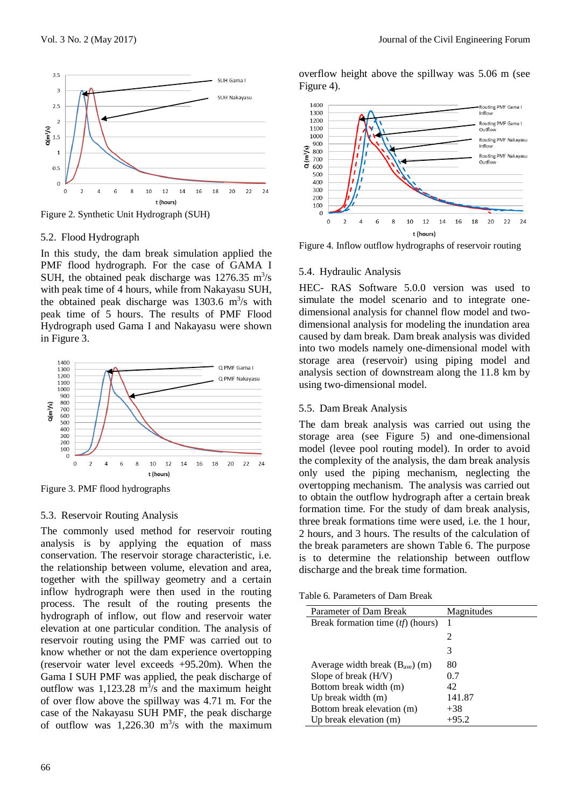

# 5.2. Flood Hydrograph

In this study, the dam break simulation applied the PMF flood hydrograph. For the case of GAMA I SUH, the obtained peak discharge was  $1276.35 \text{ m}^3/\text{s}$ with peak time of 4 hours, while from Nakayasu SUH, the obtained peak discharge was  $1303.6 \text{ m}^3\text{/s}$  with peak time of 5 hours. The results of PMF Flood Hydrograph used Gama I and Nakayasu were shown in Figure 3.



Figure 3. PMF flood hydrographs

#### 5.3. Reservoir Routing Analysis

The commonly used method for reservoir routing analysis is by applying the equation of mass conservation. The reservoir storage characteristic, i.e. the relationship between volume, elevation and area, together with the spillway geometry and a certain inflow hydrograph were then used in the routing process. The result of the routing presents the hydrograph of inflow, out flow and reservoir water elevation at one particular condition. The analysis of reservoir routing using the PMF was carried out to know whether or not the dam experience overtopping (reservoir water level exceeds +95.20m). When the Gama I SUH PMF was applied, the peak discharge of outflow was  $1,123.28 \text{ m}^3\text{/s}$  and the maximum height of over flow above the spillway was 4.71 m. For the case of the Nakayasu SUH PMF, the peak discharge of outflow was  $1,226.30 \text{ m}^3\text{/s}$  with the maximum

overflow height above the spillway was 5.06 m (see Figure 4).



Figure 4. Inflow outflow hydrographs of reservoir routing

#### 5.4. Hydraulic Analysis

HEC- RAS Software 5.0.0 version was used to simulate the model scenario and to integrate onedimensional analysis for channel flow model and twodimensional analysis for modeling the inundation area caused by dam break. Dam break analysis was divided into two models namely one-dimensional model with storage area (reservoir) using piping model and analysis section of downstream along the 11.8 km by using two-dimensional model.

#### 5.5. Dam Break Analysis

The dam break analysis was carried out using the storage area (see Figure 5) and one-dimensional model (levee pool routing model). In order to avoid the complexity of the analysis, the dam break analysis only used the piping mechanism, neglecting the overtopping mechanism. The analysis was carried out to obtain the outflow hydrograph after a certain break formation time. For the study of dam break analysis, three break formations time were used, i.e. the 1 hour, 2 hours, and 3 hours. The results of the calculation of the break parameters are shown Table 6. The purpose is to determine the relationship between outflow discharge and the break time formation.

Table 6. Parameters of Dam Break

| Parameter of Dam Break              | Magnitudes |
|-------------------------------------|------------|
| Break formation time $(tf)$ (hours) |            |
|                                     | 2          |
|                                     | 3          |
| Average width break $(Bave)$ (m)    | 80         |
| Slope of break (H/V)                | 0.7        |
| Bottom break width (m)              | 42         |
| Up break width $(m)$                | 141.87     |
| Bottom break elevation (m)          | $+38$      |
| Up break elevation (m)              | $+95.2$    |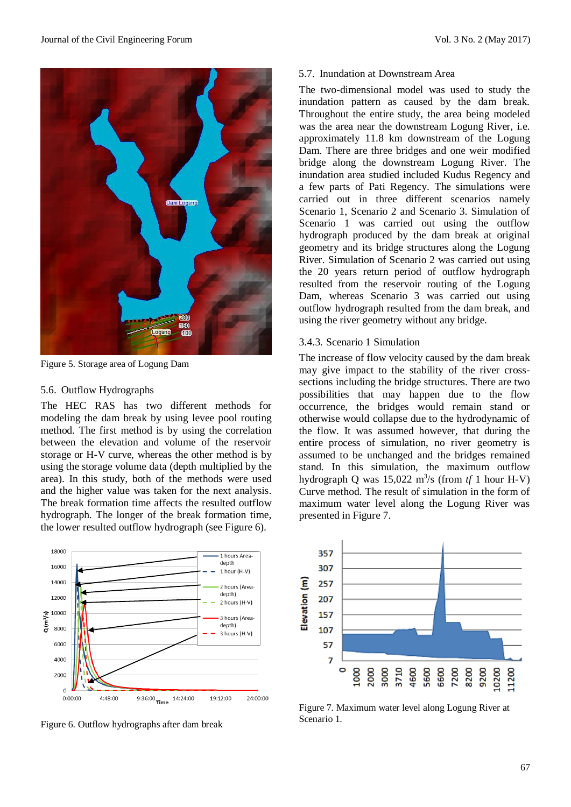

Figure 5. Storage area of Logung Dam

#### 5.6. Outflow Hydrographs

The HEC RAS has two different methods for modeling the dam break by using levee pool routing method. The first method is by using the correlation between the elevation and volume of the reservoir storage or H-V curve, whereas the other method is by using the storage volume data (depth multiplied by the area). In this study, both of the methods were used and the higher value was taken for the next analysis. The break formation time affects the resulted outflow hydrograph. The longer of the break formation time, the lower resulted outflow hydrograph (see Figure 6).



Figure 6. Outflow hydrographs after dam break

## 5.7. Inundation at Downstream Area

The two-dimensional model was used to study the inundation pattern as caused by the dam break. Throughout the entire study, the area being modeled was the area near the downstream Logung River, i.e. approximately 11.8 km downstream of the Logung Dam. There are three bridges and one weir modified bridge along the downstream Logung River. The inundation area studied included Kudus Regency and a few parts of Pati Regency. The simulations were carried out in three different scenarios namely Scenario 1, Scenario 2 and Scenario 3. Simulation of Scenario 1 was carried out using the outflow hydrograph produced by the dam break at original geometry and its bridge structures along the Logung River. Simulation of Scenario 2 was carried out using the 20 years return period of outflow hydrograph resulted from the reservoir routing of the Logung Dam, whereas Scenario 3 was carried out using outflow hydrograph resulted from the dam break, and using the river geometry without any bridge.

## 3.4.3. Scenario 1 Simulation

The increase of flow velocity caused by the dam break may give impact to the stability of the river crosssections including the bridge structures. There are two possibilities that may happen due to the flow occurrence, the bridges would remain stand or otherwise would collapse due to the hydrodynamic of the flow. It was assumed however, that during the entire process of simulation, no river geometry is assumed to be unchanged and the bridges remained stand. In this simulation, the maximum outflow hydrograph Q was  $15,022 \text{ m}^3\text{/s}$  (from  $tf1$  hour H-V) Curve method. The result of simulation in the form of maximum water level along the Logung River was presented in Figure 7.



Figure 7. Maximum water level along Logung River at Scenario 1.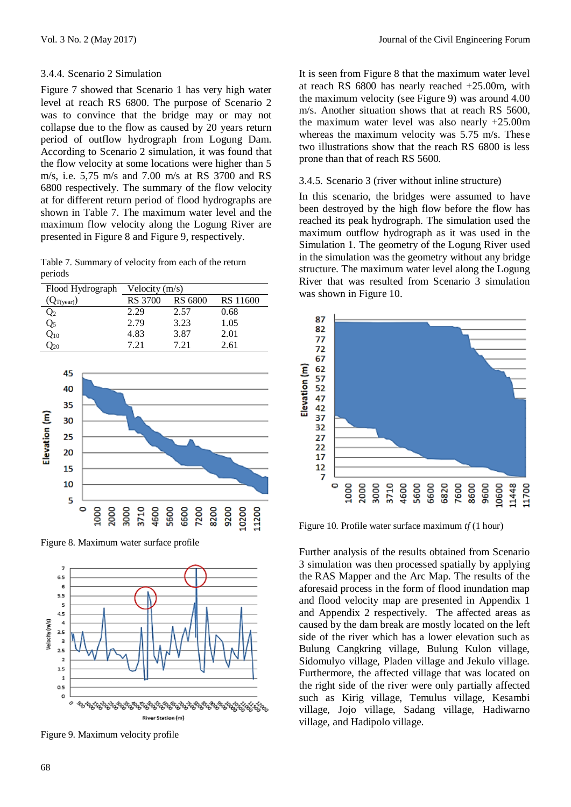## 3.4.4. Scenario 2 Simulation

Figure 7 showed that Scenario 1 has very high water level at reach RS 6800. The purpose of Scenario 2 was to convince that the bridge may or may not collapse due to the flow as caused by 20 years return period of outflow hydrograph from Logung Dam. According to Scenario 2 simulation, it was found that the flow velocity at some locations were higher than 5 m/s, i.e. 5,75 m/s and 7.00 m/s at RS 3700 and RS 6800 respectively. The summary of the flow velocity at for different return period of flood hydrographs are shown in Table 7. The maximum water level and the maximum flow velocity along the Logung River are presented in Figure 8 and Figure 9, respectively.

Table 7. Summary of velocity from each of the return periods

| Flood Hydrograph | Velocity $(m/s)$ |         |          |
|------------------|------------------|---------|----------|
| $(Q_{T(year)})$  | RS 3700          | RS 6800 | RS 11600 |
| $\mathcal{Q}_2$  | 2.29             | 2.57    | 0.68     |
| $\mathcal{Q}_5$  | 2.79             | 3.23    | 1.05     |
| $Q_{10}$         | 4.83             | 3.87    | 2.01     |
| $\frac{1}{20}$   | 7 21             | 7 21    | 2.61     |



Figure 8. Maximum water surface profile



Figure 9. Maximum velocity profile

It is seen from Figure 8 that the maximum water level at reach RS 6800 has nearly reached +25.00m, with the maximum velocity (see Figure 9) was around 4.00 m/s. Another situation shows that at reach RS 5600, the maximum water level was also nearly +25.00m whereas the maximum velocity was 5.75 m/s. These two illustrations show that the reach RS 6800 is less prone than that of reach RS 5600.

#### 3.4.5. Scenario 3 (river without inline structure)

In this scenario, the bridges were assumed to have been destroyed by the high flow before the flow has reached its peak hydrograph. The simulation used the maximum outflow hydrograph as it was used in the Simulation 1. The geometry of the Logung River used in the simulation was the geometry without any bridge structure. The maximum water level along the Logung River that was resulted from Scenario 3 simulation was shown in Figure 10.



Figure 10. Profile water surface maximum *tf* (1 hour)

Further analysis of the results obtained from Scenario 3 simulation was then processed spatially by applying the RAS Mapper and the Arc Map. The results of the aforesaid process in the form of flood inundation map and flood velocity map are presented in Appendix 1 and Appendix 2 respectively. The affected areas as caused by the dam break are mostly located on the left side of the river which has a lower elevation such as Bulung Cangkring village, Bulung Kulon village, Sidomulyo village, Pladen village and Jekulo village. Furthermore, the affected village that was located on the right side of the river were only partially affected such as Kirig village, Temulus village, Kesambi village, Jojo village, Sadang village, Hadiwarno village, and Hadipolo village.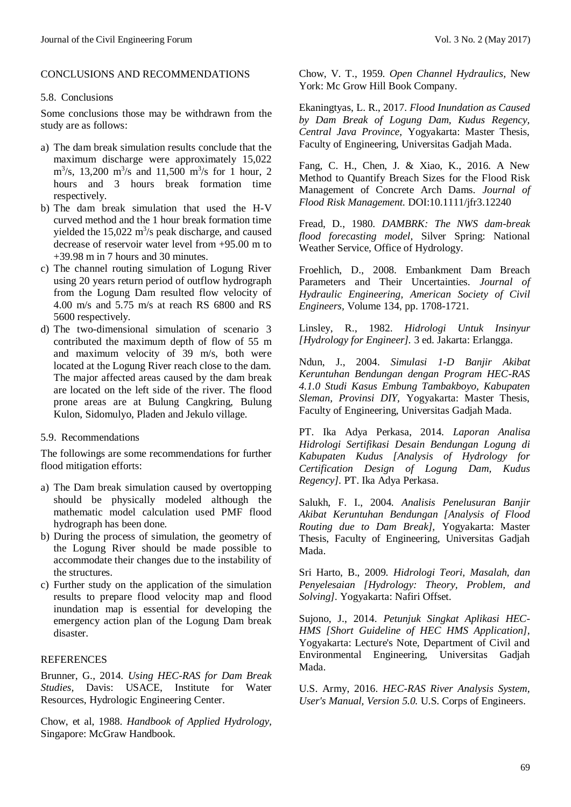## CONCLUSIONS AND RECOMMENDATIONS

## 5.8. Conclusions

Some conclusions those may be withdrawn from the study are as follows:

- a) The dam break simulation results conclude that the maximum discharge were approximately 15,022  $\text{m}^3\text{/s}$ , 13,200 m<sup>3</sup>/s and 11,500 m<sup>3</sup>/s for 1 hour, 2 hours and 3 hours break formation time respectively.
- b) The dam break simulation that used the H-V curved method and the 1 hour break formation time yielded the  $15,022 \text{ m}^3$ /s peak discharge, and caused decrease of reservoir water level from +95.00 m to +39.98 m in 7 hours and 30 minutes.
- c) The channel routing simulation of Logung River using 20 years return period of outflow hydrograph from the Logung Dam resulted flow velocity of 4.00 m/s and 5.75 m/s at reach RS 6800 and RS 5600 respectively.
- d) The two-dimensional simulation of scenario 3 contributed the maximum depth of flow of 55 m and maximum velocity of 39 m/s, both were located at the Logung River reach close to the dam. The major affected areas caused by the dam break are located on the left side of the river. The flood prone areas are at Bulung Cangkring, Bulung Kulon, Sidomulyo, Pladen and Jekulo village.

# 5.9. Recommendations

The followings are some recommendations for further flood mitigation efforts:

- a) The Dam break simulation caused by overtopping should be physically modeled although the mathematic model calculation used PMF flood hydrograph has been done.
- b) During the process of simulation, the geometry of the Logung River should be made possible to accommodate their changes due to the instability of the structures.
- c) Further study on the application of the simulation results to prepare flood velocity map and flood inundation map is essential for developing the emergency action plan of the Logung Dam break disaster.

# **REFERENCES**

Brunner, G., 2014. *Using HEC-RAS for Dam Break Studies,* Davis: USACE, Institute for Water Resources, Hydrologic Engineering Center.

Chow, et al, 1988. *Handbook of Applied Hydrology,*  Singapore: McGraw Handbook.

Chow, V. T., 1959. *Open Channel Hydraulics,* New York: Mc Grow Hill Book Company.

Ekaningtyas, L. R., 2017. *Flood Inundation as Caused by Dam Break of Logung Dam, Kudus Regency, Central Java Province,* Yogyakarta: Master Thesis, Faculty of Engineering, Universitas Gadjah Mada.

Fang, C. H., Chen, J. & Xiao, K., 2016. A New Method to Quantify Breach Sizes for the Flood Risk Management of Concrete Arch Dams. *Journal of Flood Risk Management.* DOI:10.1111/jfr3.12240

Fread, D., 1980. *DAMBRK: The NWS dam-break flood forecasting model,* Silver Spring: National Weather Service, Office of Hydrology.

Froehlich, D., 2008. Embankment Dam Breach Parameters and Their Uncertainties. *Journal of Hydraulic Engineering, American Society of Civil Engineers,* Volume 134, pp. 1708-1721.

Linsley, R., 1982. *Hidrologi Untuk Insinyur [Hydrology for Engineer].* 3 ed. Jakarta: Erlangga.

Ndun, J., 2004. *Simulasi 1-D Banjir Akibat Keruntuhan Bendungan dengan Program HEC-RAS 4.1.0 Studi Kasus Embung Tambakboyo, Kabupaten Sleman, Provinsi DIY,* Yogyakarta: Master Thesis, Faculty of Engineering, Universitas Gadjah Mada.

PT. Ika Adya Perkasa, 2014. *Laporan Analisa Hidrologi Sertifikasi Desain Bendungan Logung di Kabupaten Kudus [Analysis of Hydrology for Certification Design of Logung Dam, Kudus Regency].* PT. Ika Adya Perkasa.

Salukh, F. I., 2004. *Analisis Penelusuran Banjir Akibat Keruntuhan Bendungan [Analysis of Flood Routing due to Dam Break],* Yogyakarta: Master Thesis, Faculty of Engineering, Universitas Gadjah Mada.

Sri Harto, B., 2009. *Hidrologi Teori, Masalah, dan Penyelesaian [Hydrology: Theory, Problem, and Solving].* Yogyakarta: Nafiri Offset.

Sujono, J., 2014. *Petunjuk Singkat Aplikasi HEC-HMS [Short Guideline of HEC HMS Application],*  Yogyakarta: Lecture's Note, Department of Civil and Environmental Engineering, Universitas Gadjah Mada.

U.S. Army, 2016. *HEC-RAS River Analysis System, User's Manual, Version 5.0.* U.S. Corps of Engineers.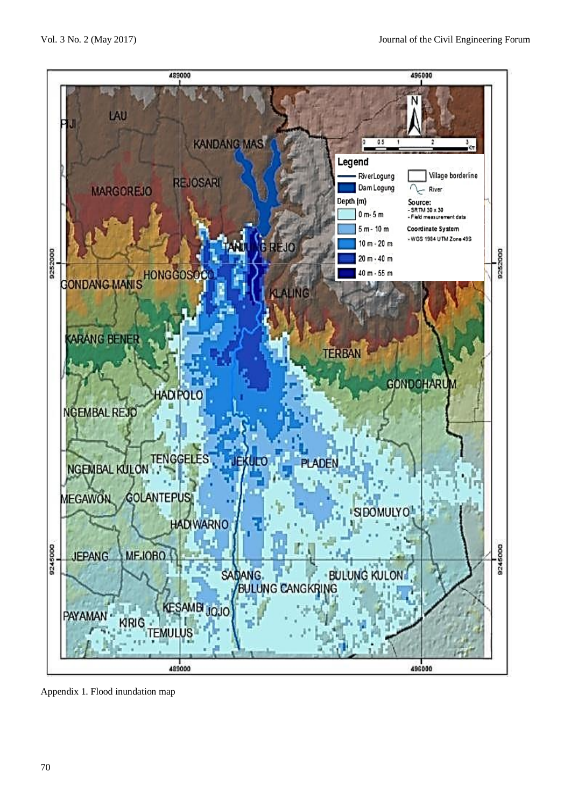

Appendix 1. Flood inundation map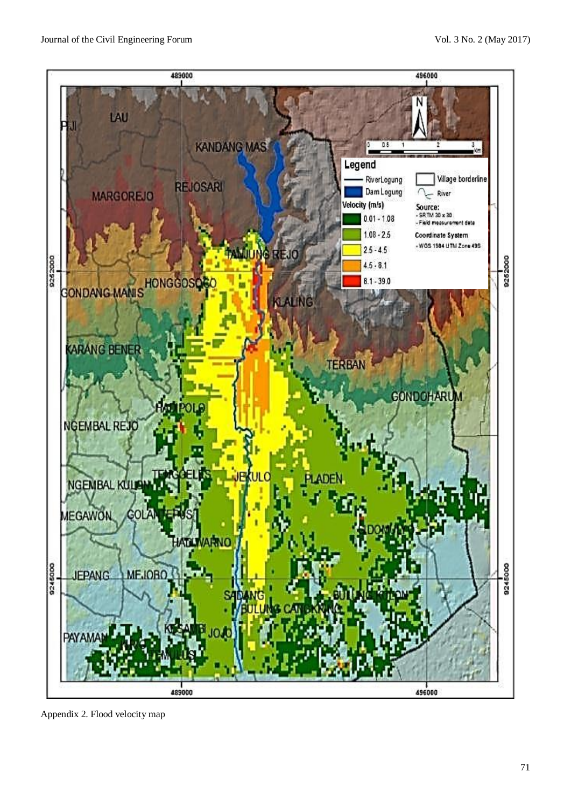

Appendix 2. Flood velocity map